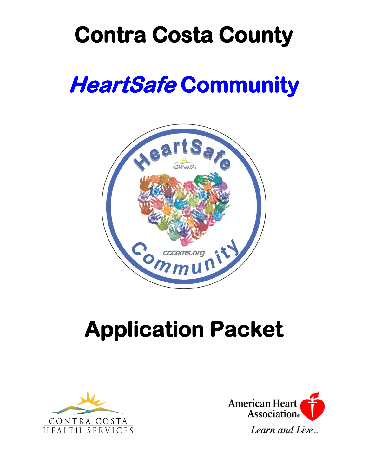## **Contra Costa County**

## **HeartSafe Community**



# **Application Packet**



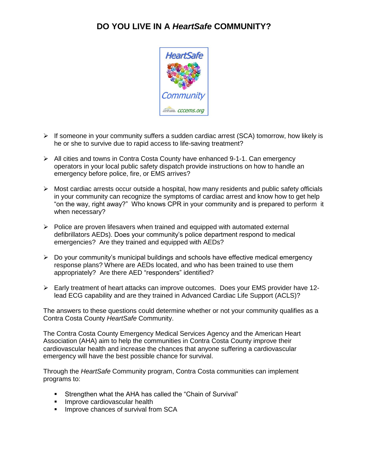### **DO YOU LIVE IN A** *HeartSafe* **COMMUNITY?**



- ➢ If someone in your community suffers a sudden cardiac arrest (SCA) tomorrow, how likely is he or she to survive due to rapid access to life-saving treatment?
- ➢ All cities and towns in Contra Costa County have enhanced 9-1-1. Can emergency operators in your local public safety dispatch provide instructions on how to handle an emergency before police, fire, or EMS arrives?
- $\triangleright$  Most cardiac arrests occur outside a hospital, how many residents and public safety officials in your community can recognize the symptoms of cardiac arrest and know how to get help "on the way, right away?" Who knows CPR in your community and is prepared to perform it when necessary?
- $\triangleright$  Police are proven lifesavers when trained and equipped with automated external defibrillators AEDs). Does your community's police department respond to medical emergencies? Are they trained and equipped with AEDs?
- ➢ Do your community's municipal buildings and schools have effective medical emergency response plans? Where are AEDs located, and who has been trained to use them appropriately? Are there AED "responders" identified?
- ➢ Early treatment of heart attacks can improve outcomes. Does your EMS provider have 12 lead ECG capability and are they trained in Advanced Cardiac Life Support (ACLS)?

The answers to these questions could determine whether or not your community qualifies as a Contra Costa County *HeartSafe* Community.

The Contra Costa County Emergency Medical Services Agency and the American Heart Association (AHA) aim to help the communities in Contra Costa County improve their cardiovascular health and increase the chances that anyone suffering a cardiovascular emergency will have the best possible chance for survival.

Through the *HeartSafe* Community program, Contra Costa communities can implement programs to:

- Strengthen what the AHA has called the "Chain of Survival"
- **·** Improve cardiovascular health
- **■** Improve chances of survival from SCA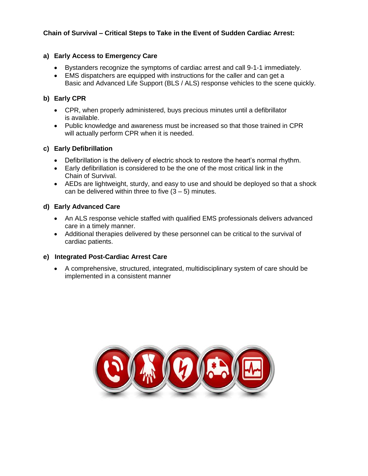### **Chain of Survival – Critical Steps to Take in the Event of Sudden Cardiac Arrest:**

### **a) Early Access to Emergency Care**

- Bystanders recognize the symptoms of cardiac arrest and call 9-1-1 immediately.
- EMS dispatchers are equipped with instructions for the caller and can get a Basic and Advanced Life Support (BLS / ALS) response vehicles to the scene quickly.

### **b) Early CPR**

- CPR, when properly administered, buys precious minutes until a defibrillator is available.
- Public knowledge and awareness must be increased so that those trained in CPR will actually perform CPR when it is needed.

### **c) Early Defibrillation**

- Defibrillation is the delivery of electric shock to restore the heart's normal rhythm.
- Early defibrillation is considered to be the one of the most critical link in the Chain of Survival.
- AEDs are lightweight, sturdy, and easy to use and should be deployed so that a shock can be delivered within three to five  $(3 - 5)$  minutes.

### **d) Early Advanced Care**

- An ALS response vehicle staffed with qualified EMS professionals delivers advanced care in a timely manner.
- Additional therapies delivered by these personnel can be critical to the survival of cardiac patients.

### **e) Integrated Post-Cardiac Arrest Care**

• A comprehensive, structured, integrated, multidisciplinary system of care should be implemented in a consistent manner

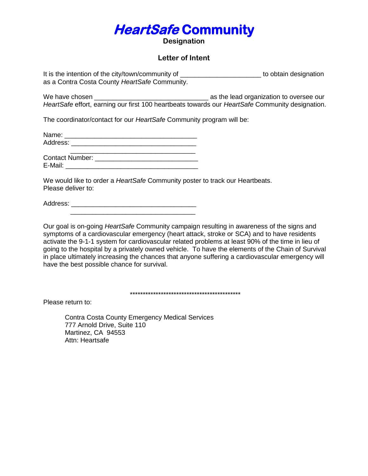## **HeartSafe Community**

**Designation**

### **Letter of Intent**

It is the intention of the city/town/community of \_\_\_\_\_\_\_\_\_\_\_\_\_\_\_\_\_\_\_\_\_\_\_\_\_\_\_ to obtain designation as a Contra Costa County *HeartSafe* Community.

We have chosen \_\_\_\_\_\_\_\_\_\_\_\_\_\_\_\_\_\_\_\_\_\_\_\_\_\_\_\_\_\_\_ as the lead organization to oversee our *HeartSafe* effort, earning our first 100 heartbeats towards our *HeartSafe* Community designation.

The coordinator/contact for our *HeartSafe* Community program will be:

Name: \_\_\_\_\_\_\_\_\_\_\_\_\_\_\_\_\_\_\_\_\_\_\_\_\_\_\_\_\_\_\_\_\_\_\_\_ Address:

Contact Number: \_\_\_\_\_\_\_\_\_\_\_\_\_\_\_\_\_\_\_\_\_\_\_\_\_\_\_\_ E-Mail: **E-Mail:**  $\overline{E}$ 

We would like to order a *HeartSafe* Community poster to track our Heartbeats. Please deliver to:

Address: \_\_\_\_\_\_\_\_\_\_\_\_\_\_\_\_\_\_\_\_\_\_\_\_\_\_\_\_\_\_\_\_\_\_

Our goal is on-going *HeartSafe* Community campaign resulting in awareness of the signs and symptoms of a cardiovascular emergency (heart attack, stroke or SCA) and to have residents activate the 9-1-1 system for cardiovascular related problems at least 90% of the time in lieu of going to the hospital by a privately owned vehicle. To have the elements of the Chain of Survival in place ultimately increasing the chances that anyone suffering a cardiovascular emergency will have the best possible chance for survival.

\*\*\*\*\*\*\*\*\*\*\*\*\*\*\*\*\*\*\*\*\*\*\*\*\*\*\*\*\*\*\*\*\*\*\*\*\*\*\*\*\*\*\*

Please return to:

Contra Costa County Emergency Medical Services 777 Arnold Drive, Suite 110 Martinez, CA 94553 Attn: Heartsafe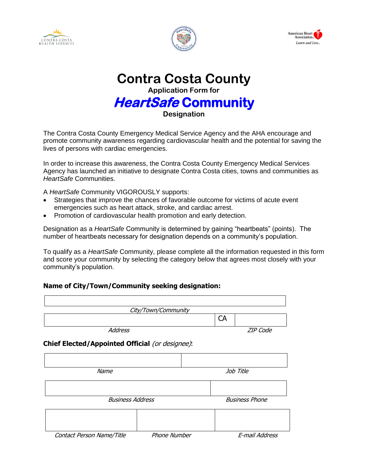





**Contra Costa County Application Form for HeartSafe Community Designation**

The Contra Costa County Emergency Medical Service Agency and the AHA encourage and promote community awareness regarding cardiovascular health and the potential for saving the lives of persons with cardiac emergencies.

In order to increase this awareness, the Contra Costa County Emergency Medical Services Agency has launched an initiative to designate Contra Costa cities, towns and communities as *HeartSafe* Communities.

A *HeartSafe* Community VIGOROUSLY supports:

- Strategies that improve the chances of favorable outcome for victims of acute event emergencies such as heart attack, stroke, and cardiac arrest.
- Promotion of cardiovascular health promotion and early detection.

Designation as a *HeartSafe* Community is determined by gaining "heartbeats" (points). The number of heartbeats necessary for designation depends on a community's population.

To qualify as a *HeartSafe* Community, please complete all the information requested in this form and score your community by selecting the category below that agrees most closely with your community's population.

### **Name of City/Town/Community seeking designation:**

| City/Town/Community                             |                     |                       |                 |  |
|-------------------------------------------------|---------------------|-----------------------|-----------------|--|
|                                                 |                     | <b>CA</b>             |                 |  |
| <b>Address</b>                                  |                     |                       | <b>ZIP</b> Code |  |
| Chief Elected/Appointed Official (or designee): |                     |                       |                 |  |
|                                                 |                     |                       |                 |  |
| Name                                            |                     | Job Title             |                 |  |
|                                                 |                     |                       |                 |  |
| <b>Business Address</b>                         |                     | <b>Business Phone</b> |                 |  |
|                                                 |                     |                       |                 |  |
| Contact Person Name/Title                       | <b>Phone Number</b> |                       | E-mail Address  |  |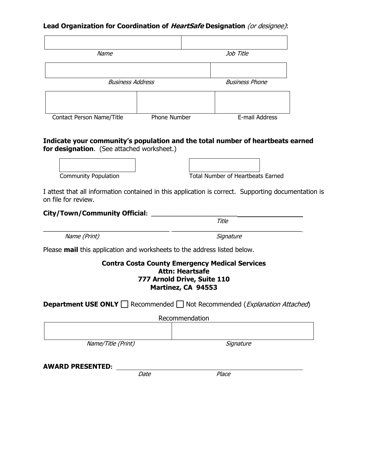### **Lead Organization for Coordination of HeartSafe Designation** (or designee):

| Name                      |              | Job Title             |
|---------------------------|--------------|-----------------------|
|                           |              |                       |
| <b>Business Address</b>   |              | <b>Business Phone</b> |
|                           |              |                       |
| Contact Person Name/Title | Phone Number | E-mail Address        |

### **Indicate your community's population and the total number of heartbeats earned for designation.** (See attached worksheet.)

Community Population<br>
Community Population<br>
Total Number of Heartbeats Earned

Title

I attest that all information contained in this application is correct. Supporting documentation is on file for review.

### **City/Town/Community Official: \_\_\_\_\_\_\_\_\_\_\_\_\_\_\_\_\_\_\_\_\_\_\_\_\_\_**

 $\_$  , and the set of the set of the set of the set of the set of the set of the set of the set of the set of the set of the set of the set of the set of the set of the set of the set of the set of the set of the set of th Name (Print) Signature

Please **mail** this application and worksheets to the address listed below.

### **Contra Costa County Emergency Medical Services Attn: Heartsafe 777 Arnold Drive, Suite 110 Martinez, CA 94553**

| <b>Department USE ONLY</b> Recommended   Not Recommended ( <i>Explanation Attached</i> ) |           |  |  |  |
|------------------------------------------------------------------------------------------|-----------|--|--|--|
| Recommendation                                                                           |           |  |  |  |
|                                                                                          |           |  |  |  |
| Name/Title (Print)                                                                       | Signature |  |  |  |
| <b>AWARD PRESENTED:</b>                                                                  |           |  |  |  |

**Date** Place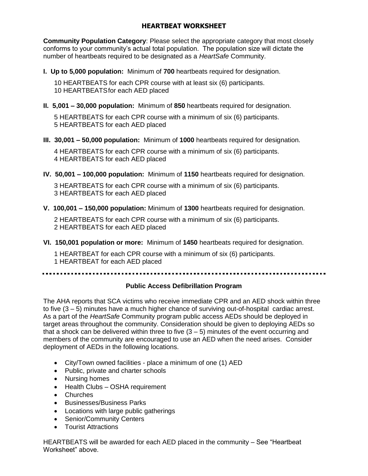### **HEARTBEAT WORKSHEET**

**Community Population Category**: Please select the appropriate category that most closely conforms to your community's actual total population. The population size will dictate the number of heartbeats required to be designated as a *HeartSafe* Community.

**I. Up to 5,000 population:** Minimum of **700** heartbeats required for designation.

10 HEARTBEATS for each CPR course with at least six (6) participants. 10 HEARTBEATSfor each AED placed

**II. 5,001 – 30,000 population:** Minimum of **850** heartbeats required for designation.

5 HEARTBEATS for each CPR course with a minimum of six (6) participants. 5 HEARTBEATS for each AED placed

**III. 30,001 – 50,000 population:** Minimum of **1000** heartbeats required for designation.

4 HEARTBEATS for each CPR course with a minimum of six (6) participants. 4 HEARTBEATS for each AED placed

**IV. 50,001 – 100,000 population:** Minimum of **1150** heartbeats required for designation.

3 HEARTBEATS for each CPR course with a minimum of six (6) participants. 3 HEARTBEATS for each AED placed

**V. 100,001 – 150,000 population:** Minimum of **1300** heartbeats required for designation.

2 HEARTBEATS for each CPR course with a minimum of six (6) participants. 2 HEARTBEATS for each AED placed

**VI. 150,001 population or more:** Minimum of **1450** heartbeats required for designation.

1 HEARTBEAT for each CPR course with a minimum of six (6) participants. 1 HEARTBEAT for each AED placed

### **Public Access Defibrillation Program**

The AHA reports that SCA victims who receive immediate CPR and an AED shock within three to five (3 – 5) minutes have a much higher chance of surviving out-of-hospital cardiac arrest. As a part of the *HeartSafe* Community program public access AEDs should be deployed in target areas throughout the community. Consideration should be given to deploying AEDs so that a shock can be delivered within three to five  $(3 - 5)$  minutes of the event occurring and members of the community are encouraged to use an AED when the need arises. Consider deployment of AEDs in the following locations.

- City/Town owned facilities place a minimum of one (1) AED
- Public, private and charter schools
- Nursing homes
- Health Clubs OSHA requirement
- Churches
- Businesses/Business Parks
- Locations with large public gatherings
- Senior/Community Centers
- Tourist Attractions

HEARTBEATS will be awarded for each AED placed in the community – See "Heartbeat Worksheet" above.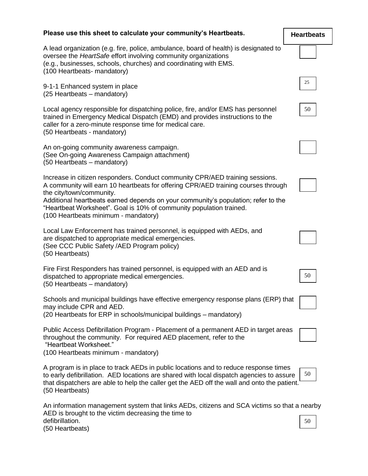| Please use this sheet to calculate your community's Heartbeats.                                                                                                                                                                                                                                                                                                                                   | <b>Heartbeats</b> |
|---------------------------------------------------------------------------------------------------------------------------------------------------------------------------------------------------------------------------------------------------------------------------------------------------------------------------------------------------------------------------------------------------|-------------------|
| A lead organization (e.g. fire, police, ambulance, board of health) is designated to<br>oversee the HeartSafe effort involving community organizations<br>(e.g., businesses, schools, churches) and coordinating with EMS.<br>(100 Heartbeats- mandatory)                                                                                                                                         |                   |
| 9-1-1 Enhanced system in place<br>(25 Heartbeats - mandatory)                                                                                                                                                                                                                                                                                                                                     | 25                |
| Local agency responsible for dispatching police, fire, and/or EMS has personnel<br>trained in Emergency Medical Dispatch (EMD) and provides instructions to the<br>caller for a zero-minute response time for medical care.<br>(50 Heartbeats - mandatory)                                                                                                                                        | 50                |
| An on-going community awareness campaign.<br>(See On-going Awareness Campaign attachment)<br>(50 Heartbeats – mandatory)                                                                                                                                                                                                                                                                          |                   |
| Increase in citizen responders. Conduct community CPR/AED training sessions.<br>A community will earn 10 heartbeats for offering CPR/AED training courses through<br>the city/town/community.<br>Additional heartbeats earned depends on your community's population; refer to the<br>"Heartbeat Worksheet". Goal is 10% of community population trained.<br>(100 Heartbeats minimum - mandatory) |                   |
| Local Law Enforcement has trained personnel, is equipped with AEDs, and<br>are dispatched to appropriate medical emergencies.<br>(See CCC Public Safety / AED Program policy)<br>(50 Heartbeats)                                                                                                                                                                                                  |                   |
| Fire First Responders has trained personnel, is equipped with an AED and is<br>dispatched to appropriate medical emergencies.<br>(50 Heartbeats - mandatory)                                                                                                                                                                                                                                      | 50                |
| Schools and municipal buildings have effective emergency response plans (ERP) that<br>may include CPR and AED.<br>(20 Heartbeats for ERP in schools/municipal buildings – mandatory)                                                                                                                                                                                                              |                   |
| Public Access Defibrillation Program - Placement of a permanent AED in target areas<br>throughout the community. For required AED placement, refer to the<br>"Heartbeat Worksheet."<br>(100 Heartbeats minimum - mandatory)                                                                                                                                                                       |                   |
| A program is in place to track AEDs in public locations and to reduce response times<br>to early defibrillation. AED locations are shared with local dispatch agencies to assure<br>that dispatchers are able to help the caller get the AED off the wall and onto the patient.<br>(50 Heartbeats)                                                                                                | 50                |
| An information management system that links AEDs, citizens and SCA victims so that a nearby<br>AED is brought to the victim decreasing the time to                                                                                                                                                                                                                                                |                   |

defibrillation. (50 Heartbeats) 50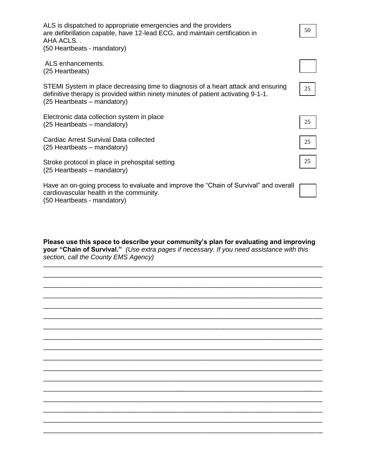| ALS is dispatched to appropriate emergencies and the providers<br>are defibrillation capable, have 12-lead ECG, and maintain certification in<br>AHA ACLS                                             | 50 |
|-------------------------------------------------------------------------------------------------------------------------------------------------------------------------------------------------------|----|
| (50 Heartbeats - mandatory)                                                                                                                                                                           |    |
| ALS enhancements.<br>(25 Heartbeats)                                                                                                                                                                  |    |
| STEMI System in place decreasing time to diagnosis of a heart attack and ensuring<br>definitive therapy is provided within ninety minutes of patient activating 9-1-1.<br>(25 Heartbeats – mandatory) | 25 |
| Electronic data collection system in place<br>(25 Heartbeats – mandatory)                                                                                                                             | 25 |
| Cardiac Arrest Survival Data collected<br>(25 Heartbeats – mandatory)                                                                                                                                 | 25 |
| Stroke protocol in place in prehospital setting<br>(25 Heartbeats – mandatory)                                                                                                                        | 25 |
| Have an on-going process to evaluate and improve the "Chain of Survival" and overall<br>cardiovascular health in the community.                                                                       |    |

(50 Heartbeats - mandatory)

**Please use this space to describe your community's plan for evaluating and improving your "Chain of Survival."** *(Use extra pages if necessary. If you need assistance with this section, call the County EMS Agency)*

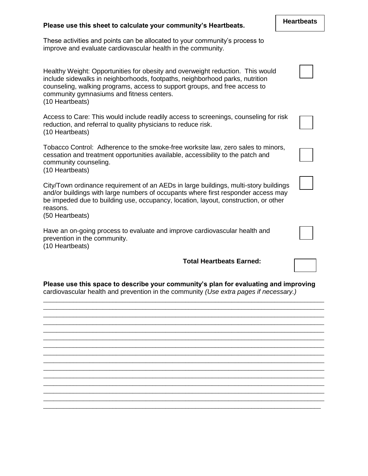| Please use this sheet to calculate your community's Heartbeats.                                                                                                                                                                                                                                              | <b>Heartbeats</b> |
|--------------------------------------------------------------------------------------------------------------------------------------------------------------------------------------------------------------------------------------------------------------------------------------------------------------|-------------------|
| These activities and points can be allocated to your community's process to<br>improve and evaluate cardiovascular health in the community.                                                                                                                                                                  |                   |
| Healthy Weight: Opportunities for obesity and overweight reduction. This would<br>include sidewalks in neighborhoods, footpaths, neighborhood parks, nutrition<br>counseling, walking programs, access to support groups, and free access to<br>community gymnasiums and fitness centers.<br>(10 Heartbeats) |                   |
| Access to Care: This would include readily access to screenings, counseling for risk<br>reduction, and referral to quality physicians to reduce risk.<br>(10 Heartbeats)                                                                                                                                     |                   |
| Tobacco Control: Adherence to the smoke-free worksite law, zero sales to minors,<br>cessation and treatment opportunities available, accessibility to the patch and<br>community counseling.<br>(10 Heartbeats)                                                                                              |                   |
| City/Town ordinance requirement of an AEDs in large buildings, multi-story buildings<br>and/or buildings with large numbers of occupants where first responder access may<br>be impeded due to building use, occupancy, location, layout, construction, or other<br>reasons.<br>(50 Heartbeats)              |                   |
| Have an on-going process to evaluate and improve cardiovascular health and<br>prevention in the community.<br>(10 Heartbeats)                                                                                                                                                                                |                   |
| <b>Total Heartbeats Earned:</b>                                                                                                                                                                                                                                                                              |                   |
| Please use this space to describe your community's plan for evaluating and improving<br>cardiovascular health and prevention in the community (Use extra pages if necessary.)                                                                                                                                |                   |

\_\_\_\_\_\_\_\_\_\_\_\_\_\_\_\_\_\_\_\_\_\_\_\_\_\_\_\_\_\_\_\_\_\_\_\_\_\_\_\_\_\_\_\_\_\_\_\_\_\_\_\_\_\_\_\_\_\_\_\_\_\_\_\_\_\_\_\_\_\_\_\_\_\_\_\_\_\_\_\_\_\_\_\_\_ \_\_\_\_\_\_\_\_\_\_\_\_\_\_\_\_\_\_\_\_\_\_\_\_\_\_\_\_\_\_\_\_\_\_\_\_\_\_\_\_\_\_\_\_\_\_\_\_\_\_\_\_\_\_\_\_\_\_\_\_\_\_\_\_\_\_\_\_\_\_\_\_\_\_\_\_\_\_\_\_\_\_\_\_\_ \_\_\_\_\_\_\_\_\_\_\_\_\_\_\_\_\_\_\_\_\_\_\_\_\_\_\_\_\_\_\_\_\_\_\_\_\_\_\_\_\_\_\_\_\_\_\_\_\_\_\_\_\_\_\_\_\_\_\_\_\_\_\_\_\_\_\_\_\_\_\_\_\_\_\_\_\_\_\_\_\_\_\_\_\_ \_\_\_\_\_\_\_\_\_\_\_\_\_\_\_\_\_\_\_\_\_\_\_\_\_\_\_\_\_\_\_\_\_\_\_\_\_\_\_\_\_\_\_\_\_\_\_\_\_\_\_\_\_\_\_\_\_\_\_\_\_\_\_\_\_\_\_\_\_\_\_\_\_\_\_\_\_\_\_\_\_\_\_\_\_ \_\_\_\_\_\_\_\_\_\_\_\_\_\_\_\_\_\_\_\_\_\_\_\_\_\_\_\_\_\_\_\_\_\_\_\_\_\_\_\_\_\_\_\_\_\_\_\_\_\_\_\_\_\_\_\_\_\_\_\_\_\_\_\_\_\_\_\_\_\_\_\_\_\_\_\_\_\_\_\_\_\_\_\_\_ \_\_\_\_\_\_\_\_\_\_\_\_\_\_\_\_\_\_\_\_\_\_\_\_\_\_\_\_\_\_\_\_\_\_\_\_\_\_\_\_\_\_\_\_\_\_\_\_\_\_\_\_\_\_\_\_\_\_\_\_\_\_\_\_\_\_\_\_\_\_\_\_\_\_\_\_\_\_\_\_\_\_\_\_\_ \_\_\_\_\_\_\_\_\_\_\_\_\_\_\_\_\_\_\_\_\_\_\_\_\_\_\_\_\_\_\_\_\_\_\_\_\_\_\_\_\_\_\_\_\_\_\_\_\_\_\_\_\_\_\_\_\_\_\_\_\_\_\_\_\_\_\_\_\_\_\_\_\_\_\_\_\_\_\_\_\_\_\_\_\_ \_\_\_\_\_\_\_\_\_\_\_\_\_\_\_\_\_\_\_\_\_\_\_\_\_\_\_\_\_\_\_\_\_\_\_\_\_\_\_\_\_\_\_\_\_\_\_\_\_\_\_\_\_\_\_\_\_\_\_\_\_\_\_\_\_\_\_\_\_\_\_\_\_\_\_\_\_\_\_\_\_\_\_\_\_ \_\_\_\_\_\_\_\_\_\_\_\_\_\_\_\_\_\_\_\_\_\_\_\_\_\_\_\_\_\_\_\_\_\_\_\_\_\_\_\_\_\_\_\_\_\_\_\_\_\_\_\_\_\_\_\_\_\_\_\_\_\_\_\_\_\_\_\_\_\_\_\_\_\_\_\_\_\_\_\_\_\_\_\_\_ \_\_\_\_\_\_\_\_\_\_\_\_\_\_\_\_\_\_\_\_\_\_\_\_\_\_\_\_\_\_\_\_\_\_\_\_\_\_\_\_\_\_\_\_\_\_\_\_\_\_\_\_\_\_\_\_\_\_\_\_\_\_\_\_\_\_\_\_\_\_\_\_\_\_\_\_\_\_\_\_\_\_\_\_\_ \_\_\_\_\_\_\_\_\_\_\_\_\_\_\_\_\_\_\_\_\_\_\_\_\_\_\_\_\_\_\_\_\_\_\_\_\_\_\_\_\_\_\_\_\_\_\_\_\_\_\_\_\_\_\_\_\_\_\_\_\_\_\_\_\_\_\_\_\_\_\_\_\_\_\_\_\_\_\_\_\_\_\_\_\_

\_\_\_\_\_\_\_\_\_\_\_\_\_\_\_\_\_\_\_\_\_\_\_\_\_\_\_\_\_\_\_\_\_\_\_\_\_\_\_\_\_\_\_\_\_\_\_\_\_\_\_\_\_\_\_\_\_\_\_\_\_\_\_\_\_\_\_\_\_\_\_\_\_\_\_\_\_\_\_\_\_\_\_\_\_

\_\_\_\_\_\_\_\_\_\_\_\_\_\_\_\_\_\_\_\_\_\_\_\_\_\_\_\_\_\_\_\_\_\_\_\_\_\_\_\_\_\_\_\_\_\_\_\_\_\_\_\_\_\_\_\_\_\_\_\_\_\_\_\_\_\_\_\_\_\_\_\_\_\_\_\_\_\_\_\_\_\_\_\_\_ \_\_\_\_\_\_\_\_\_\_\_\_\_\_\_\_\_\_\_\_\_\_\_\_\_\_\_\_\_\_\_\_\_\_\_\_\_\_\_\_\_\_\_\_\_\_\_\_\_\_\_\_\_\_\_\_\_\_\_\_\_\_\_\_\_\_\_\_\_\_\_\_\_\_\_\_\_\_\_\_\_\_\_\_\_ \_\_\_\_\_\_\_\_\_\_\_\_\_\_\_\_\_\_\_\_\_\_\_\_\_\_\_\_\_\_\_\_\_\_\_\_\_\_\_\_\_\_\_\_\_\_\_\_\_\_\_\_\_\_\_\_\_\_\_\_\_\_\_\_\_\_\_\_\_\_\_\_\_\_\_\_\_\_\_\_\_\_\_\_